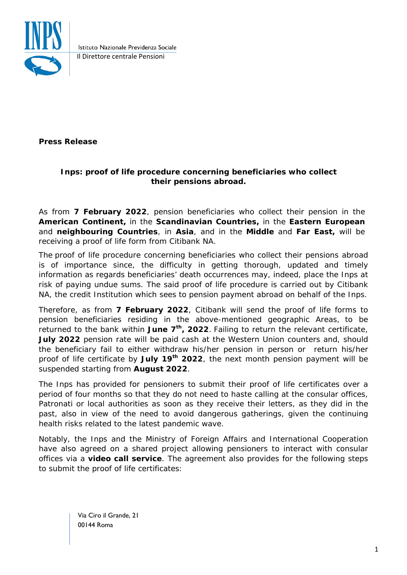

Istituto Nazionale Previdenza Sociale Il Direttore centrale Pensioni

**Press Release**

## **Inps: proof of life procedure concerning beneficiaries who collect their pensions abroad.**

As from **7 February 2022**, pension beneficiaries who collect their pension in the **American Continent,** in the **Scandinavian Countries,** in the **Eastern European**  and **neighbouring Countries**, in **Asia**, and in the **Middle** and **Far East,** will be receiving a proof of life form from Citibank NA.

The proof of life procedure concerning beneficiaries who collect their pensions abroad is of importance since, the difficulty in getting thorough, updated and timely information as regards beneficiaries' death occurrences may, indeed, place the Inps at risk of paying undue sums. The said proof of life procedure is carried out by Citibank NA, the credit Institution which sees to pension payment abroad on behalf of the Inps.

Therefore, as from **7 February 2022**, Citibank will send the proof of life forms to pension beneficiaries residing in the above-mentioned geographic Areas, to be returned to the bank within **June 7th, 2022**. Failing to return the relevant certificate, **July 2022** pension rate will be paid cash at the Western Union counters and, should the beneficiary fail to either withdraw his/her pension in person or return his/her proof of life certificate by **July 19th 2022**, the next month pension payment will be suspended starting from **August 2022**.

The Inps has provided for pensioners to submit their proof of life certificates over a period of four months so that they do not need to haste calling at the consular offices, Patronati or local authorities as soon as they receive their letters, as they did in the past, also in view of the need to avoid dangerous gatherings, given the continuing health risks related to the latest pandemic wave.

Notably, the Inps and the Ministry of Foreign Affairs and International Cooperation have also agreed on a shared project allowing pensioners to interact with consular offices via a **video call service**. The agreement also provides for the following steps to submit the proof of life certificates:

> Via Ciro il Grande, 21 00144 Roma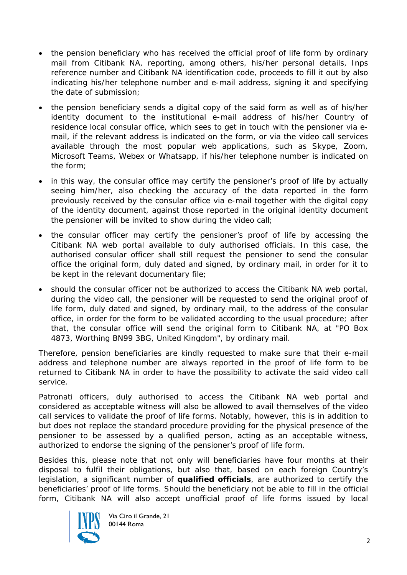- the pension beneficiary who has received the official proof of life form by ordinary mail from Citibank NA, reporting, among others, his/her personal details, Inps reference number and Citibank NA identification code, proceeds to fill it out by also indicating his/her telephone number and e-mail address, signing it and specifying the date of submission;
- the pension beneficiary sends a digital copy of the said form as well as of his/her identity document to the institutional e-mail address of his/her Country of residence local consular office, which sees to get in touch with the pensioner via email, if the relevant address is indicated on the form, or via the video call services available through the most popular web applications, such as Skype, Zoom, Microsoft Teams, Webex or Whatsapp, if his/her telephone number is indicated on the form;
- in this way, the consular office may certify the pensioner's proof of life by actually seeing him/her, also checking the accuracy of the data reported in the form previously received by the consular office via e-mail together with the digital copy of the identity document, against those reported in the original identity document the pensioner will be invited to show during the video call;
- the consular officer may certify the pensioner's proof of life by accessing the Citibank NA web portal available to duly authorised officials. In this case, the authorised consular officer shall still request the pensioner to send the consular office the original form, duly dated and signed, by ordinary mail, in order for it to be kept in the relevant documentary file;
- should the consular officer not be authorized to access the Citibank NA web portal, during the video call, the pensioner will be requested to send the original proof of life form, duly dated and signed, by ordinary mail, to the address of the consular office, in order for the form to be validated according to the usual procedure; after that, the consular office will send the original form to Citibank NA, at "PO Box 4873, Worthing BN99 3BG, United Kingdom", by ordinary mail.

Therefore, pension beneficiaries are kindly requested to make sure that their e-mail address and telephone number are always reported in the proof of life form to be returned to Citibank NA in order to have the possibility to activate the said video call service.

Patronati officers, duly authorised to access the Citibank NA web portal and considered as acceptable witness will also be allowed to avail themselves of the video call services to validate the proof of life forms. Notably, however, this is in addition to but does not replace the standard procedure providing for the physical presence of the pensioner to be assessed by a qualified person, acting as an acceptable witness, authorized to endorse the signing of the pensioner's proof of life form.

Besides this, please note that not only will beneficiaries have four months at their disposal to fulfil their obligations, but also that, based on each foreign Country's legislation, a significant number of **qualified officials**, are authorized to certify the beneficiaries' proof of life forms. Should the beneficiary not be able to fill in the *official* form, Citibank NA will also accept *unofficial* proof of life forms issued by local



Via Ciro il Grande, 21 00144 Roma